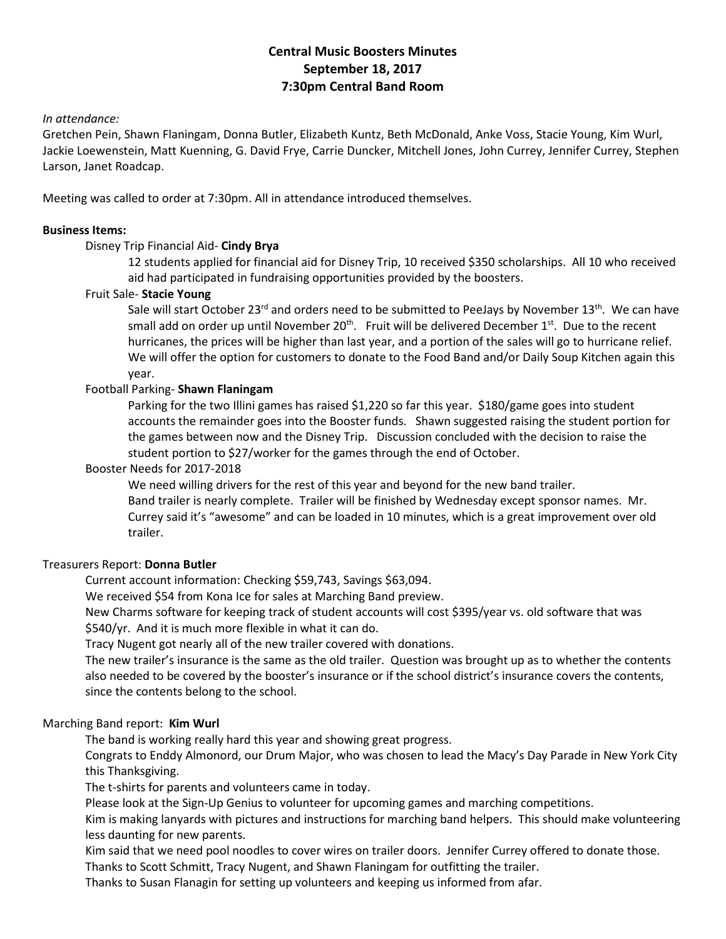# **Central Music Boosters Minutes September 18, 2017 7:30pm Central Band Room**

# *In attendance:*

Gretchen Pein, Shawn Flaningam, Donna Butler, Elizabeth Kuntz, Beth McDonald, Anke Voss, Stacie Young, Kim Wurl, Jackie Loewenstein, Matt Kuenning, G. David Frye, Carrie Duncker, Mitchell Jones, John Currey, Jennifer Currey, Stephen Larson, Janet Roadcap.

Meeting was called to order at 7:30pm. All in attendance introduced themselves.

# **Business Items:**

# Disney Trip Financial Aid- **Cindy Brya**

12 students applied for financial aid for Disney Trip, 10 received \$350 scholarships. All 10 who received aid had participated in fundraising opportunities provided by the boosters.

# Fruit Sale- **Stacie Young**

Sale will start October 23<sup>rd</sup> and orders need to be submitted to PeeJays by November 13<sup>th</sup>. We can have small add on order up until November 20<sup>th</sup>. Fruit will be delivered December 1<sup>st</sup>. Due to the recent hurricanes, the prices will be higher than last year, and a portion of the sales will go to hurricane relief. We will offer the option for customers to donate to the Food Band and/or Daily Soup Kitchen again this year.

## Football Parking- **Shawn Flaningam**

Parking for the two Illini games has raised \$1,220 so far this year. \$180/game goes into student accounts the remainder goes into the Booster funds. Shawn suggested raising the student portion for the games between now and the Disney Trip. Discussion concluded with the decision to raise the student portion to \$27/worker for the games through the end of October.

#### Booster Needs for 2017-2018

We need willing drivers for the rest of this year and beyond for the new band trailer. Band trailer is nearly complete. Trailer will be finished by Wednesday except sponsor names. Mr. Currey said it's "awesome" and can be loaded in 10 minutes, which is a great improvement over old trailer.

#### Treasurers Report: **Donna Butler**

Current account information: Checking \$59,743, Savings \$63,094.

We received \$54 from Kona Ice for sales at Marching Band preview.

New Charms software for keeping track of student accounts will cost \$395/year vs. old software that was \$540/yr. And it is much more flexible in what it can do.

Tracy Nugent got nearly all of the new trailer covered with donations.

The new trailer's insurance is the same as the old trailer. Question was brought up as to whether the contents also needed to be covered by the booster's insurance or if the school district's insurance covers the contents, since the contents belong to the school.

#### Marching Band report: **Kim Wurl**

The band is working really hard this year and showing great progress.

Congrats to Enddy Almonord, our Drum Major, who was chosen to lead the Macy's Day Parade in New York City this Thanksgiving.

The t-shirts for parents and volunteers came in today.

Please look at the Sign-Up Genius to volunteer for upcoming games and marching competitions.

Kim is making lanyards with pictures and instructions for marching band helpers. This should make volunteering less daunting for new parents.

Kim said that we need pool noodles to cover wires on trailer doors. Jennifer Currey offered to donate those.

Thanks to Scott Schmitt, Tracy Nugent, and Shawn Flaningam for outfitting the trailer.

Thanks to Susan Flanagin for setting up volunteers and keeping us informed from afar.